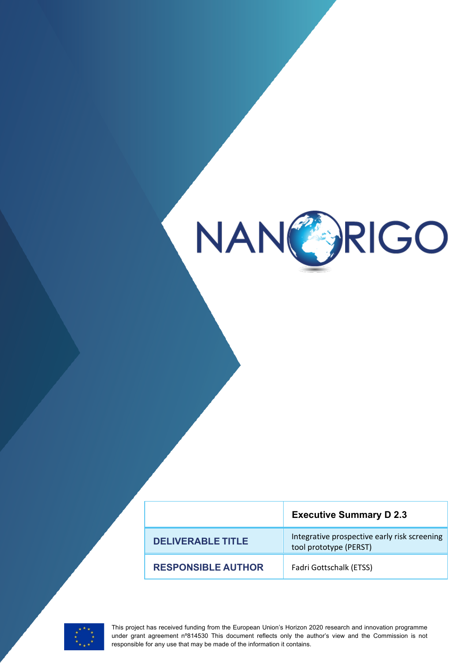

Please insert document title

|                           | <b>Executive Summary D 2.3</b>                                         |
|---------------------------|------------------------------------------------------------------------|
| <b>DELIVERABLE TITLE</b>  | Integrative prospective early risk screening<br>tool prototype (PERST) |
| <b>RESPONSIBLE AUTHOR</b> | Fadri Gottschalk (ETSS)                                                |



**1** This project has received funding from the European Union's Horizon 2020 research and innovation programme under grant agreement n°814530 This document reflects only the author's view and the Commission is not responsible for any use that may be made of the information it contains.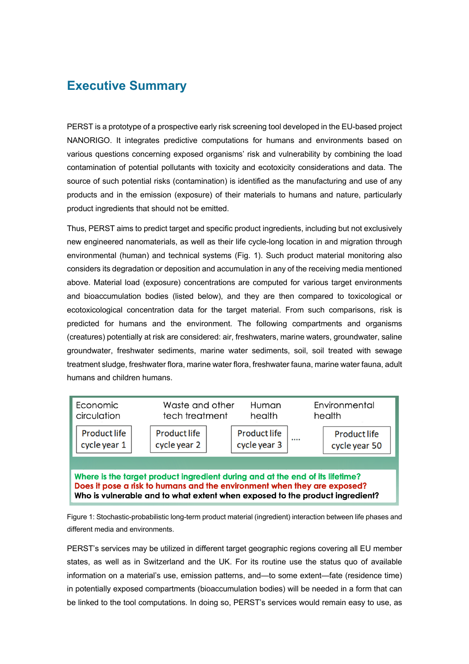## **Executive Summary**

PERST is a prototype of a prospective early risk screening tool developed in the EU-based project NANORIGO. It integrates predictive computations for humans and environments based on various questions concerning exposed organisms' risk and vulnerability by combining the load contamination of potential pollutants with toxicity and ecotoxicity considerations and data. The source of such potential risks (contamination) is identified as the manufacturing and use of any products and in the emission (exposure) of their materials to humans and nature, particularly product ingredients that should not be emitted.

Thus, PERST aims to predict target and specific product ingredients, including but not exclusively new engineered nanomaterials, as well as their life cycle-long location in and migration through environmental (human) and technical systems (Fig. 1). Such product material monitoring also considers its degradation or deposition and accumulation in any of the receiving media mentioned above. Material load (exposure) concentrations are computed for various target environments and bioaccumulation bodies (listed below), and they are then compared to toxicological or ecotoxicological concentration data for the target material. From such comparisons, risk is predicted for humans and the environment. The following compartments and organisms (creatures) potentially at risk are considered: air, freshwaters, marine waters, groundwater, saline groundwater, freshwater sediments, marine water sediments, soil, soil treated with sewage treatment sludge, freshwater flora, marine water flora, freshwater fauna, marine water fauna, adult humans and children humans.



Figure 1: Stochastic-probabilistic long-term product material (ingredient) interaction between life phases and different media and environments.

PERST's services may be utilized in different target geographic regions covering all EU member states, as well as in Switzerland and the UK. For its routine use the status quo of available information on a material's use, emission patterns, and—to some extent—fate (residence time) in potentially exposed compartments (bioaccumulation bodies) will be needed in a form that can be linked to the tool computations. In doing so, PERST's services would remain easy to use, as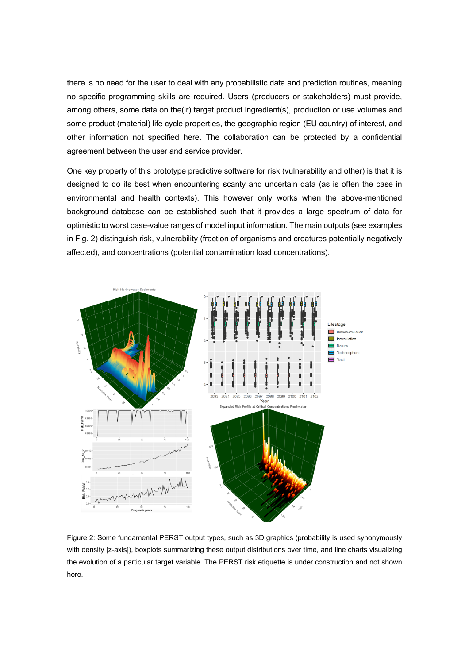there is no need for the user to deal with any probabilistic data and prediction routines, meaning no specific programming skills are required. Users (producers or stakeholders) must provide, among others, some data on the(ir) target product ingredient(s), production or use volumes and some product (material) life cycle properties, the geographic region (EU country) of interest, and other information not specified here. The collaboration can be protected by a confidential agreement between the user and service provider.

One key property of this prototype predictive software for risk (vulnerability and other) is that it is designed to do its best when encountering scanty and uncertain data (as is often the case in environmental and health contexts). This however only works when the above-mentioned background database can be established such that it provides a large spectrum of data for optimistic to worst case-value ranges of model input information. The main outputs (see examples in Fig. 2) distinguish risk, vulnerability (fraction of organisms and creatures potentially negatively affected), and concentrations (potential contamination load concentrations).



Figure 2: Some fundamental PERST output types, such as 3D graphics (probability is used synonymously with density [z-axis]), boxplots summarizing these output distributions over time, and line charts visualizing the evolution of a particular target variable. The PERST risk etiquette is under construction and not shown here.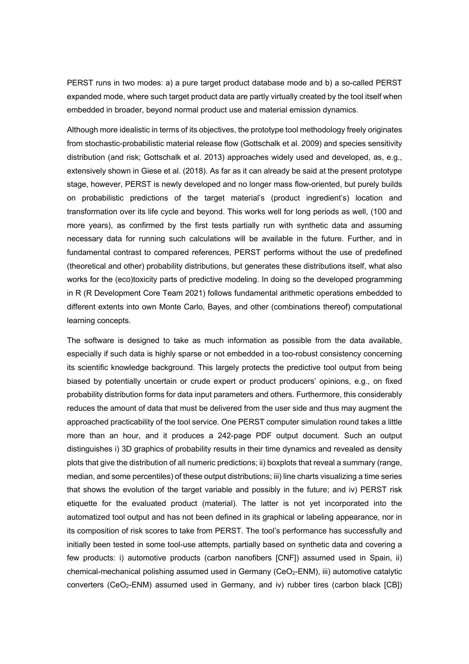PERST runs in two modes: a) a pure target product database mode and b) a so-called PERST expanded mode, where such target product data are partly virtually created by the tool itself when embedded in broader, beyond normal product use and material emission dynamics.

Although more idealistic in terms of its objectives, the prototype tool methodology freely originates from stochastic-probabilistic material release flow (Gottschalk et al. 2009) and species sensitivity distribution (and risk; Gottschalk et al. 2013) approaches widely used and developed, as, e.g., extensively shown in Giese et al. (2018). As far as it can already be said at the present prototype stage, however, PERST is newly developed and no longer mass flow-oriented, but purely builds on probabilistic predictions of the target material's (product ingredient's) location and transformation over its life cycle and beyond. This works well for long periods as well, (100 and more years), as confirmed by the first tests partially run with synthetic data and assuming necessary data for running such calculations will be available in the future. Further, and in fundamental contrast to compared references, PERST performs without the use of predefined (theoretical and other) probability distributions, but generates these distributions itself, what also works for the (eco)toxicity parts of predictive modeling. In doing so the developed programming in R (R Development Core Team 2021) follows fundamental arithmetic operations embedded to different extents into own Monte Carlo, Bayes, and other (combinations thereof) computational learning concepts.

The software is designed to take as much information as possible from the data available, especially if such data is highly sparse or not embedded in a too-robust consistency concerning its scientific knowledge background. This largely protects the predictive tool output from being biased by potentially uncertain or crude expert or product producers' opinions, e.g., on fixed probability distribution forms for data input parameters and others. Furthermore, this considerably reduces the amount of data that must be delivered from the user side and thus may augment the approached practicability of the tool service. One PERST computer simulation round takes a little more than an hour, and it produces a 242-page PDF output document. Such an output distinguishes i) 3D graphics of probability results in their time dynamics and revealed as density plots that give the distribution of all numeric predictions; ii) boxplots that reveal a summary (range, median, and some percentiles) of these output distributions; iii) line charts visualizing a time series that shows the evolution of the target variable and possibly in the future; and iv) PERST risk etiquette for the evaluated product (material). The latter is not yet incorporated into the automatized tool output and has not been defined in its graphical or labeling appearance, nor in its composition of risk scores to take from PERST. The tool's performance has successfully and initially been tested in some tool-use attempts, partially based on synthetic data and covering a few products: i) automotive products (carbon nanofibers [CNF]) assumed used in Spain, ii) chemical-mechanical polishing assumed used in Germany (CeO<sub>2</sub>-ENM), iii) automotive catalytic converters (CeO<sub>2</sub>-ENM) assumed used in Germany, and iv) rubber tires (carbon black [CB])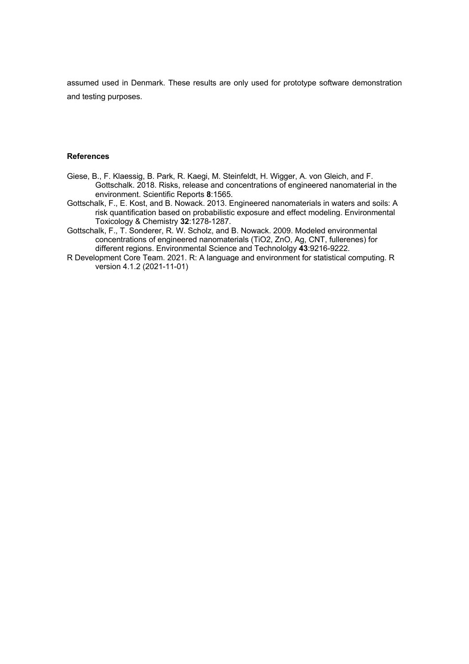assumed used in Denmark. These results are only used for prototype software demonstration and testing purposes.

## **References**

- Giese, B., F. Klaessig, B. Park, R. Kaegi, M. Steinfeldt, H. Wigger, A. von Gleich, and F. Gottschalk. 2018. Risks, release and concentrations of engineered nanomaterial in the environment. Scientific Reports **8**:1565.
- Gottschalk, F., E. Kost, and B. Nowack. 2013. Engineered nanomaterials in waters and soils: A risk quantification based on probabilistic exposure and effect modeling. Environmental Toxicology & Chemistry **32**:1278-1287.
- Gottschalk, F., T. Sonderer, R. W. Scholz, and B. Nowack. 2009. Modeled environmental concentrations of engineered nanomaterials (TiO2, ZnO, Ag, CNT, fullerenes) for different regions. Environmental Science and Technololgy **43**:9216-9222.
- R Development Core Team. 2021. R: A language and environment for statistical computing. R version 4.1.2 (2021-11-01)